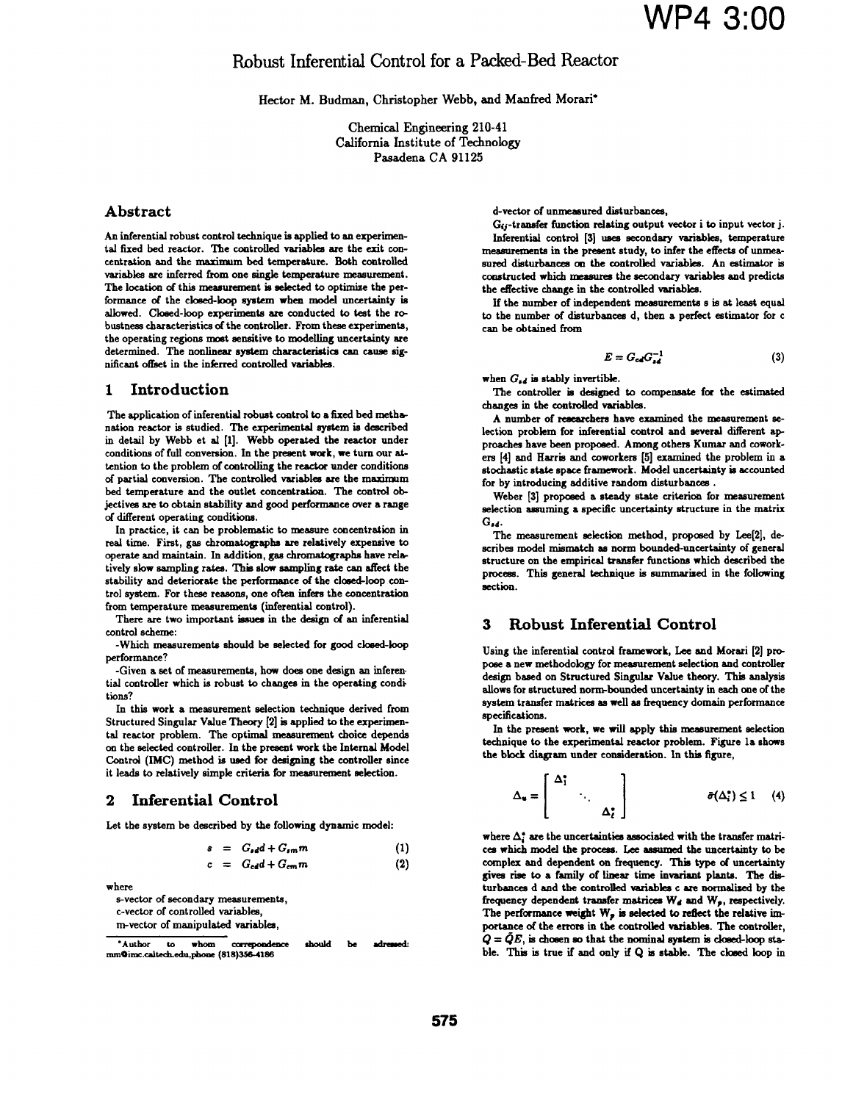# Robust Inferential Control for a Packed-Bed Reactor

Hector M. Budman, Christopher Webb, and Manfred Morari\*

Chemical Engineering 210-41 California Institute of Technology Pasadena CA <sup>91125</sup>

# Abstract

An inferential robust control technique is applied to an experimental fixed bed reactor. ITe controlled variables are the exit concentration and the maximum bed temperature. Both controlled variables are inferred from one single temperature measurement. The location of this measurement is selected to optimize the performance of the closed-loop system when model uncertainty is albowed. Closed-loop expeiments are conducted to test the robustness characteristics of the controller. From these experiments, the operating regions most sensitive to modelling uncertainty are determined. The nonlinear system characteristics can caue significant offset in the inferred controlled variables.

# 1 Introduction

The application of inferential robust control to a fixed bed methanation reactor is studied. The experimental system is described in detail by Webb et al [1]. Webb operated the reactor under conditions of full conversion. In the present work, we turn our attention to the problem of controlling the reactor under conditions of partial conversion. The controlled variables are the maximm bed temperature and the outlet concentration. The control objectives are to obtain stability and good performance over a range of different operating conditions.

In practice, it can be problematic to measure concentration in real time. First, gas chromatographs are relatively expensive to operate and maintain. In addition, gas chromatographs have relatively slow sampling rates. This slow sampling rate can affect the stability and deteriorate the performance of the closed-loop control system. For these reasons, one often infers the concentration from temperature measurements (inferential control).

There are two important issues in the design of an inferential control scheme:

-Which measurements should be selected for good cloed-loop performance?

-Given a set of measurements, how does one design an inferen tial controller which is robust to changes in the operating condi tions?

In this work a measurement selection technique derived from Structured Singular Value Theory [2] is applied to the experimental reactor problem. The optimal measurement choice depends on the selected controller. In the present work the Internal Model Control (IMC) method is used for designing the controller since it leads to relatively simple crteria for measurement selection.

# 2 Inferential Control

Let the system be described by the following dynamic model:

$$
s = G_{sd}d + G_{sm}m \tag{1}
$$

$$
c = G_{cd}d + G_{cm}m \tag{2}
$$

where

s-vector of secondary measurements, c-vector of controled variables,

m-vector of manipulated variables

d-vector of unmeasured disturbances,

Gij-transfer function relating output vector <sup>i</sup> to input vector j. Inferential control [3] uses secondary variables, temperature measurements in the present study, to infer the effects of unmeasured disturbances on the controlled variables. An estimator is constructed whih measures the secondary variabes and predicts the effective change in the controlled variables.

If the number of independent measurements <sup>s</sup> is at least equal to the number of disturbances d, then a perfect estimator for c can be obtained from

$$
E = G_{cd} G_{sd}^{-1} \tag{3}
$$

when  $G_{sd}$  is stably invertible.

The controller is designed to compensate for the estimated changes in the controlled variables.

A number of researchers have examined the measurement selection problem for inferential control and several different approaches have been proposed. Among others Kumar and coworkers [4] and Harris and coworkers [5] examined the problem in a stochastic state space framework. Model uncertainy is accounted for by introducing additive random disturbances .

Weber [3] proposed a steady state criterion for measurement selection assuming a specific uncertainty structure in the matrix  $G_{dd}$ .

The measurement selection method, proposed by Lee[2], describes model mismatch as norm bounded-uncertainty of general structure on the empirical transfer functions which described the process. This general technique is summarised in the folowing section.

# 3 Robust Inferential Control

Using the inferential control framework, Lee and Morari [2] propose a new methodology for measurement selection and controller design based on Structured Singular Value theory. This analysis allows for structured norm-bounded uncertainty in each one of the system transfer matrices as well as frequency domain performance specifications.

In the present work, we will apply this meaurement selection technique to the experimental reactor problem. Figure la shows the block diagram under consideration. In this figure,

$$
\Delta_{\mathbf{u}} = \begin{bmatrix} \Delta_1^* & & \\ & \ddots & \\ & & \Delta_{\mathbf{c}}^* \end{bmatrix} \qquad \qquad \bar{\sigma}(\Delta_i^*) \leq 1 \quad (4)
$$

where  $\Delta_i^*$  are the uncertainties associated with the transfer matrices which model the process. Lee assumed the uncertainty to be complex and dependent on frequency. This type of uncertainty gives rise to a family of linear time invariant plants. The disturbances d and the controled variables c are normalized by the frequency dependent transfer matrices  $W_d$  and  $W_p$ , respectively. The performance weight  $W_p$  is selected to reflect the relative importance of the errors in the controled variables. The controler,  $Q = \bar{Q}E$ , is chosen so that the nominal system is closed-loop stable. This is true if and only if Q is stable. The closed loop in

<sup>\*</sup>Author to whom correpondence should be adressed: nm@imc.caitechedu,phone (818)354186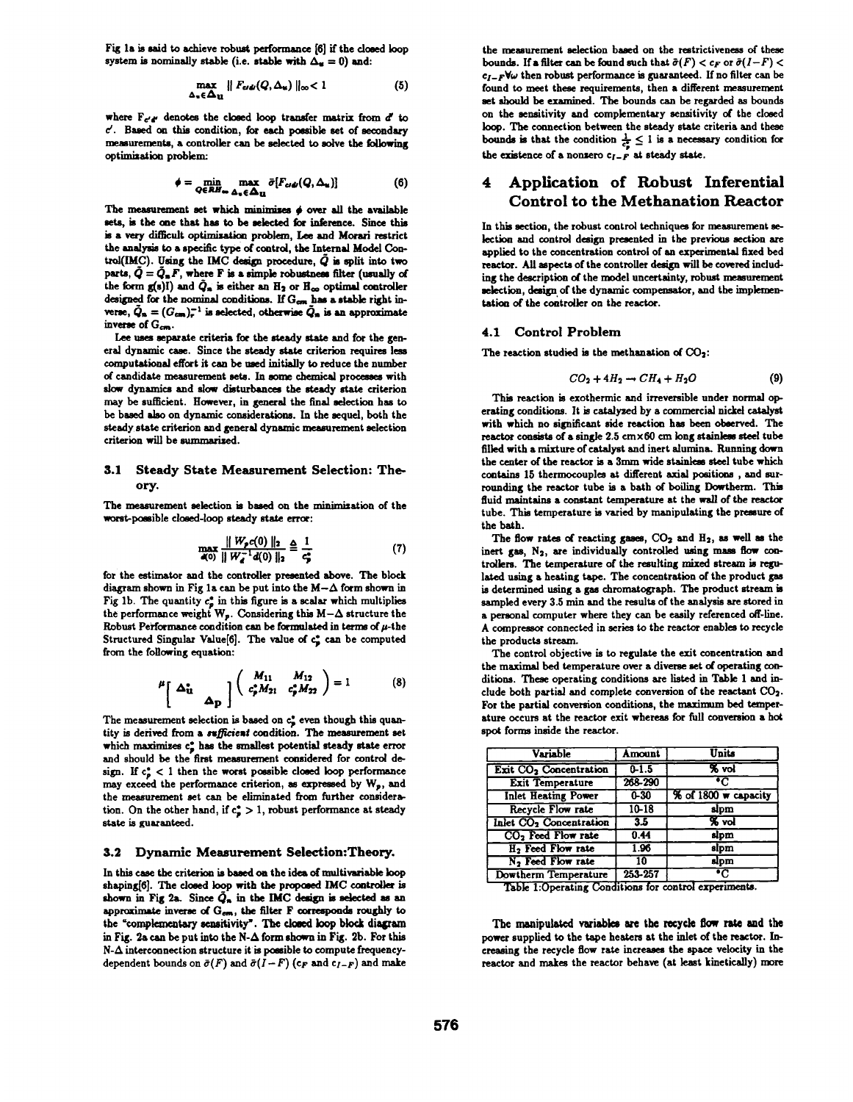Fig la is said to achieve robust performance [6] if the closed loop system is nominally stable (i.e. stable with  $\Delta_{\alpha} = 0$ ) and:

$$
\max_{\Delta_{\bullet} \in \Delta_{\mathbf{U}}} \| F_{e i \phi}(Q, \Delta_{\mathbf{u}}) \|_{\infty} < 1 \tag{5}
$$

where  $F_{e'e'}$  denotes the closed loop transfer matrix from  $d'$  to  $c'$ . Based on this condition, for each possible set of secondary measurements, a controller can be selected to solve the following optimization problem:

$$
\phi = \min_{Q \in \mathcal{R}H_{\infty}} \max_{\Delta_u \in \Delta_{\mathbf{U}}} \bar{\sigma}[F_{cd\omega}(Q, \Delta_u)] \tag{6}
$$

The measurement set which minimizes  $\phi$  over all the available sets, is the one that has to be selected for inference. Since this is a very difficult optimization problem, Lee and Morari restrict the analysis to a specific type of control, the Internal Model Control(IMC). Using the IMC design procedure,  $\bar{Q}$  is split into two parts,  $\tilde{Q} = \tilde{Q}_n F$ , where F is a simple robustness filter (usually of the form  $g(s)$ i) and  $\tilde{Q}_n$  is either an  $H_2$  or  $H_{\infty}$  optimal controller designed for the nominal conditions. If  $G_{cm}$  has a stable right inverse,  $\tilde{Q}_n = (G_{cm})_r^{-1}$  is selected, otherwise  $\tilde{Q}_n$  is an approximate inverse of  $G_{cm}$ .

Lee uses separate criteria for the steady state and for the general dynamic case. Since the steady state criterion requires les computational effort it can be ued initially to reduce the number of candidate measurement sets. In some chemical processes with slow dynamics and slow disturbances the steady state criterion may be sufficient. However, in general the final selection has to be based also on dynamic considerations. In the sequel, both the steady state criterion and general dynamic measurement selection criterion will be summarized.

## 3.1 Steady State Measurement Selection: Theory.

The measurement selection is based on the minimization of the worst-possible closed-loop steady state error:

$$
\max_{a(0)} \frac{\|W_p c(0)\|_2}{\|W_a^{-1} d(0)\|_2} \triangleq \frac{1}{c_p^2} \tag{7}
$$

for the estimator and the controller presented above. The block diagram shown in Fig 1a can be put into the  $M-\Delta$  form shown in Fig 1b. The quantity  $c_p^*$  in this figure is a scalar which multiplies the performance weight  $W_p$ . Considering this  $M-\Delta$  structure the Robust Performance condition can be formulated in terms of  $\mu$ -the Structured Singular Value<sup>[6]</sup>. The value of c<sub>2</sub> can be computed from the folowing equation:

$$
\mu \left[ \Delta_{\mathbf{u}}^{*} \quad \Delta_{\mathbf{p}}^{*} \right] \left( \begin{array}{cc} M_{11} & M_{12} \\ c_{\mathbf{p}}^{*} M_{21} & c_{\mathbf{p}}^{*} M_{22} \end{array} \right) = 1 \tag{8}
$$

The measurement selection is based on  $c_j^*$  even though this quantity is derived from a ssfficiest condition. The measurement set which maximizes  $c_p^*$  has the smallest potential steady state error and should be the first measurement considered for control design. If  $c_p^* < 1$  then the worst possible closed loop performance may exceed the performance criterion, as expressed by  $W_p$ , and the measurement set can be eliminated from further consideration. On the other hand, if  $c_p^* > 1$ , robust performance at steady state is guaranteed.

#### 3.2 Dynamic Measurement Selection: Theory.

In this case the criterion is based on the idea of multivariable loop shaping[6]. The closed loop with the proposed IMC controller is shown in Fig 2a. Since  $\tilde{Q}_n$  in the IMC design is selected as an approximate inverse of  $G_{cm}$ , the filter F corresponds roughly to the "complementary sensitivity". The closed loop block diagram in Fig. 2a can be put into the N- $\Delta$  form shown in Fig. 2b. For this  $N-\Delta$  interconnection structure it is possible to compute frequencydependent bounds on  $\bar{\sigma}(F)$  and  $\bar{\sigma}(I-F)$  (c<sub>F</sub> and c<sub>l-F</sub>) and make

the measurement selection baed on the restrictiveness of these bounds. If a filter can be found such that  $\bar{\sigma}(F) < c_F$  or  $\bar{\sigma}(I-F) <$  $c_{I-F}$ Vw then robust performance is guaranteed. If no filter can be found to meet these requirements, then a different measurement set should be examined. The bounds can be regarded as bounds on the sensitivity and complementary sensitivity of the closed lop. The connection between the steady state criteria and these bounds is that the condition  $\frac{1}{\epsilon_p^*} \leq 1$  is a necessary condition for the existence of a nonzero  $c_{I-F}$  at steady state.

# 4 Application of Robust Inferential Control to the Methanation Reactor

In this section, the robust control techniques for measurement selection and control desigu presented in the previous sction are applied to the concentration control of an experimental fixed bed reactor. All aspects of the controller design will be covered including the description of the model uncertainty, robust measurement selection, design of the dynamic compensator, and the implementation of the controller on the reactor.

### 4.1 Control Problem

The reaction studied is the methanation of  $CO<sub>2</sub>$ :

$$
CO_2 + 4H_2 \rightarrow CH_4 + H_2O \tag{9}
$$

This reaction is exothernic and irreversible under normal op. erating conditions. It is catalyzed by a commercial nickel catalyst with which no significant side reaction has been observed. The reactor consists of a single  $2.5 \text{ cm} \times 60 \text{ cm}$  long stainless steel tube filled with a mixture of catalyst and inert alumina. Running down the center of the reactor is <sup>a</sup> 3mm wide stainless steel tube which contains 15 thermocouples at different axial positions, and surrounding the reactor tube is a bath of boiling Dowtherm. This fluid maintains a constant temperature at the wall of the reactor tube. This temperature is varied by manipulating the premure of the bath.

The flow rates of reacting gases,  $CO<sub>2</sub>$  and  $H<sub>2</sub>$ , as well as the inert gas,  $N_2$ , are individually controlled using mass flow controllers. The temperature of the resulting mixed stream is regulated using a heating tape. The concentration of the product ga is determined using a gas chromatograph. The product stream is sanpled every 3.5 min and the results of the analysis are stored in a personal computer where they can be easily referenced off-line. A compressor connected in series to the reactor enables to recycle the products stream.

The control objective is to regulate the exit concentration and the maximal bed temperature over a diverse set of operating conditions. These operating conditions are listed in Table <sup>1</sup> and include both partial and complete conversion of the reactant  $CO<sub>2</sub>$ . For the partial conversion conditions, the maximum bed temperature occurs at the reactor exit whereas for full conversion a hot spot forms inside the reactor.

| Variable                            | Amount    | <b>Units</b>         |
|-------------------------------------|-----------|----------------------|
| Exit CO <sub>2</sub> Concentration  | $0 - 1.5$ | % vol                |
| <b>Exit Temperature</b>             | 268-290   | °C                   |
| <b>Inlet Heating Power</b>          | $0 - 30$  | % of 1800 w capacity |
| <b>Recycle Flow rate</b>            | $10 - 18$ | slpm                 |
| Inlet CO <sub>2</sub> Concentration | 3.5       | % vol                |
| CO <sub>2</sub> Feed Flow rate      | 0.44      | slpm                 |
| H <sub>2</sub> Feed Flow rate       | 1.96      | slpm                 |
| N <sub>2</sub> Feed Flow rate       | 10        | slpm                 |
| Dowtherm Temperature                | 253-257   | ٠c                   |

Table 1:Operating Conditions for control experiments.

The manipulated variables are the recycle flow rate and the power suppled to the tape heaters at the inlet of the reactor. Increasing the recycle flow rate increases the space velocity in the reactor and makes the reactor behave (at least kinetically) more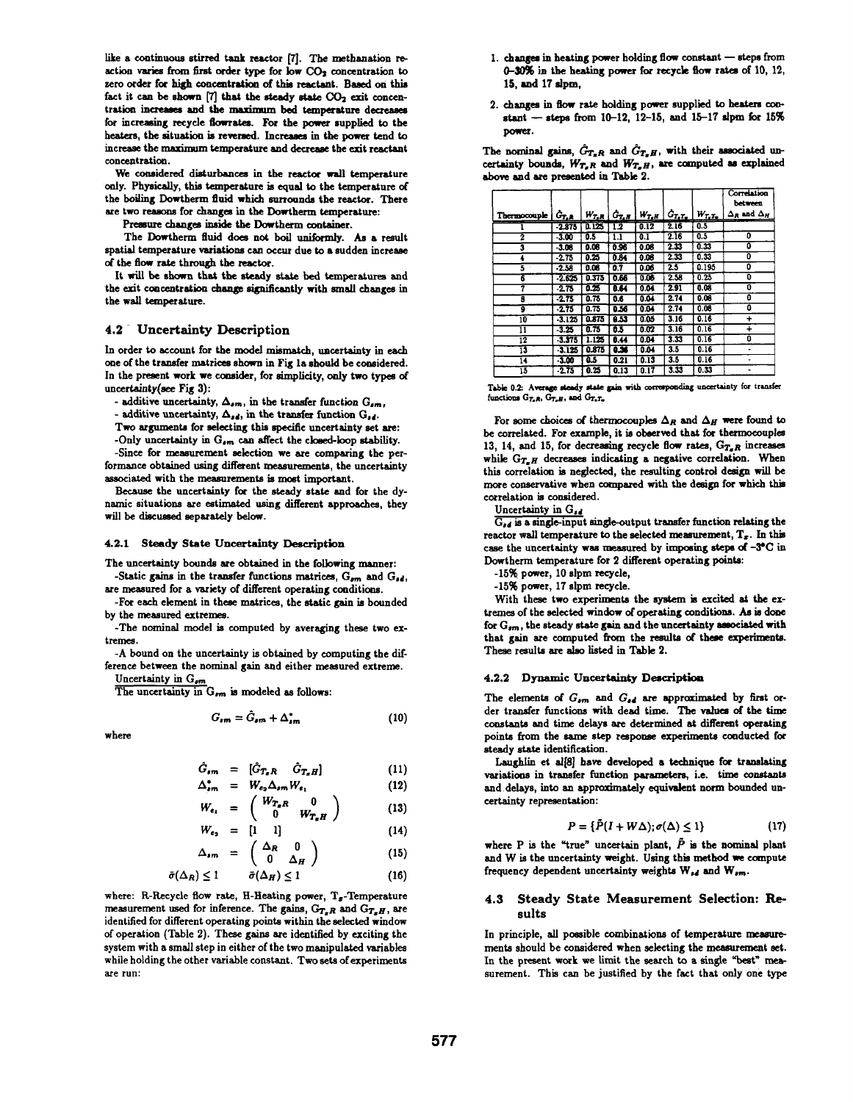like a continuous stirred tank reactor [7]. The methanation reaction varies from first order type for low CO<sub>2</sub> concentration to zero order for high concentraion of this reactant. Based on this fact it can be shown [7] that the steady state  $CO<sub>2</sub>$  exit concentration increases and the maximum bed temperature decreases for increasing recycle flowrates. For the power supplied to the heaters, the situation is reversed. Increases in the power tend to increase the maximum temperature and decrease the exit reactant concentration.

We considered disturbances in the reactor wall temperature only. Physically, this temperature is equal to the temperature of the boiling Dowtherm fluid which surrounds the reactor. There are two reasons for changes in the Dowtherm temperature:

Pressure changes inside the Dowtherm container.

The Dowtherm fluid does not boil uniformly. As a result spatial temperature variations can occur due to a sudden increase of the flow rate through the reactor.

It will be shown that the steady state bed temperatures and the exit concentration change significantly with small changes in the wall temperature.

## 4.2- Uncertainty Description

In order to account for the model mismatch, uncertainty in each one of the transfer matrices shown in Fig la should be considered. In the present work we consider, for simplicity, only two types of uncertainty(see Fig 3):

- additive uncertainty,  $\Delta_{sm}$ , in the transfer function  $G_{sm}$ ,

- additive uncertainty,  $\Delta_{sd}$ , in the transfer function  $G_{sd}$ .

Two arguments for selecting this specific uncertainty set are:

-Only uncertainty in  $G_{sm}$  can affect the closed-loop stability. -Since for measurement selection we are comparing the per-

formance obtained using different measurements, the uncertainty associated with the measurements is most important.

Because the uncertainty for the steady state and for the dynamic situations are estimated using different approaches, they will be discussed separately below.

#### 4.2.1 Steady State Uncertainty Description

The uncertainty bounds are obtained in the following manner: -Static gains in the transfer functions matrices,  $G_{nm}$  and  $G_{sd}$ ,

are measured for a variety of different operating conditions. -For each element in these matrices, the static gain is bounded

by the measured extremes. -The nominal model is computed by averaging these two ex-

tremes.

-A bound on the uncertainty is obtained by computing the difference between the nominal gain and either measured extreme. Uncertainty in  $G_{sm}$ 

The uncertainty in  $G_{sm}$  is modeled as follows:

$$
G_{\mathbf{sm}} = \hat{G}_{\mathbf{sm}} + \Delta_{\mathbf{sm}}^* \tag{10}
$$

where

$$
\hat{G}_{sm} = [\hat{G}_{T_xR} \quad \hat{G}_{T_xH}] \qquad (11)
$$

$$
\Delta_{sm}^* = W_{\epsilon_2} \Delta_{sm} W_{\epsilon_1} \tag{12}
$$
\n
$$
\begin{pmatrix} W_{\epsilon_1} & 0 \end{pmatrix}
$$

$$
W_{\epsilon_1} = \begin{pmatrix} w_{T_R} & 0 \\ 0 & W_{T_R} & \end{pmatrix}
$$
 (13)

$$
W_{e_2} = \begin{bmatrix} 1 & 1 \end{bmatrix} \tag{14}
$$

$$
\Delta_{sm} = \begin{pmatrix} -\alpha & \Delta_H \end{pmatrix} \tag{15}
$$

$$
\bar{\sigma}(\Delta_R) \le 1 \qquad \bar{\sigma}(\Delta_H) \le 1 \tag{16}
$$

where: R-Recycle flow rate, H-Heating power,  $T<sub>x</sub>$ -Temperature measurement used for inference. The gains,  $G_{T_xR}$  and  $G_{T_xH}$ , are identified for different operating points within the selected window of operation (Table 2). These gains are identified by exciting the system with a small step in either of the two manipulated variabls while holding the other variable constant. Two sets of experiments are run:

- 1. changes in heating power holding flow constant  $-$  steps from 0-30% in the heating power for recycle fow rates of 10, 12, 15, and 17 slpm,
- 2. changes in flow rate holding power supplied to heaters constant - steps from  $10-12$ ,  $12-15$ , and  $15-17$  slpm for  $15\%$ power.

The nominal gains,  $\hat{G}_{T_RR}$  and  $\hat{G}_{T_RH}$ , with their associated uncertainty bounds,  $W_{T_xR}$  and  $W_{T_xH}$ , are computed as explained above and are presented in Table 2.

|              |                       |       |                        |            |              |              | Correlation<br>between    |
|--------------|-----------------------|-------|------------------------|------------|--------------|--------------|---------------------------|
| Thermocouple | $G_{T,\underline{R}}$ |       | $W_{T,R} \mid G_{T,B}$ | $W_{T_eH}$ | $G_{T_2T_2}$ | $W_{T_2T_2}$ | $\Delta_R$ and $\Delta_H$ |
|              | $-2.875$              | 0.125 | 1.2                    | 0.12       | 216          | 0.5          |                           |
| 2            | $-3.00$               | 0.5   | 1.1                    | 0.1        | 2.16         | 0.5          | ٥                         |
| 3            | $-3.08$               | 0.08  | 0.96                   | 0.06       | 233          | 0.33         | ٥                         |
| 4            | $-2.75$               | 0.25  | 0.84                   | 0.08       | 2.33         | 0.33         | o                         |
| 5            | $-2.58$               | 0.08  | 0.7                    | 0.06       | 2.5          | 0.195        | Û                         |
| 6            | $-2.625$              | 0.373 | 0.66                   | 0.06       | 2.58         | 0.25         | O                         |
| 7            | $-2.75$               | 0.25  | 8.64                   | 0.04       | 2.91         | 0.08         | 0                         |
| 3            | $-2.75$               | 0.75  | 0.6                    | 0.04       | 2.74         | 0.06         | 0                         |
| 9            | $-2.75$               | 0.75  | 0.56                   | 0.04       | 2.74         | 0.08         | 0                         |
| īO           | $-3.125$              | 0.875 | 8.53                   | 0.05       | 3.16         | 0.16         | $\div$                    |
| ī1           | $-3.25$               | 0.75  | 63                     | 0.02       | 3.16         | 0.16         | $\ddot{}$                 |
| 12           | $-3.375$              | 1.125 | 8.44                   | 0.04       | 3.33         | 0.16         | ٥                         |
| 13           | $-3.125$              | 0.875 | عده                    | 0.04       | 3.5          | 0.16         |                           |
| 14           | $-3.00$               | 6.5   | 0.21                   | 0.13       | 3.5          | 0.16         |                           |
| ī3           | $-2.75$               | 0.25  | 0.13                   | 0.17       | 3.33         | 0.33         |                           |

| Table 0.2: Average steady state gain with corresponding uncertainty for transfer |  |  |  |
|----------------------------------------------------------------------------------|--|--|--|
| functions $G_{T_xR}$ , $G_{T_xH}$ , and $G_{T_xT_w}$ .                           |  |  |  |

For some choices of thermocouples  $\Delta_R$  and  $\Delta_H$  were found to be correlated. For example, it is oberved that for thermocouples 13, 14, and 15, for decreasing recycle flow rates,  $G_{T_xR}$  increases while  $G_{T_xH}$  decreases indicating a negative correlation. When this correlation is neglected, the resulting control design will be more conservative when compared with the design for which this correlation is considered.

Uncertainty in G<sub>rd</sub>

 $\overline{G_{sd}}$  is a single-input single-output transfer function relating the reactor wall temperature to the selected measurement,  $T<sub>z</sub>$ . In this case the uncertainty was measured by imposing steps of -3°C in Dowtherm temperature for 2 different operating points:

-15% power, 10 slpm recycle,

-15% power, 17 slpm recycle.

With these two experiments the system is excited at the extremes of the selected window of operating conditions. As is done for  $G_{nm}$ , the steady state gain and the uncertainty associated with that gain are computed from the results of these experinents. These results are also listed in Table 2.

### 4.2.2 Dynamic Uncertainty Description

The elements of  $G_{em}$  and  $G_{sd}$  are approximated by first order transfer functions with dead time. The values of the time constants and time delays are determined at different operating points from the same step response experiments conducted for steady state identification.

Laughlin et al $[8]$  have developed a technique for translating variatioms in transfer function parameters, i.e. time constants and delays, into an approximately equivalent norm bounded uncertainty representation:

$$
P = \{ \tilde{P}(I + W\Delta) ; \sigma(\Delta) \le 1 \}
$$
 (17)

where P is the "true" uncertain plant,  $\tilde{P}$  is the nominal plant and W is the uncertainty weight. Using this method we compute frequency dependent uncertainty weights  $W_{sd}$  and  $W_{sm}$ .

### 4.3 Steady State Measurement Selection: Results

In principle, all possible combinations of temperature measurements should be considered when selecting the measurement set. In the present work we limit the search to a single "best" measurement. This can be justified by the fact that only one type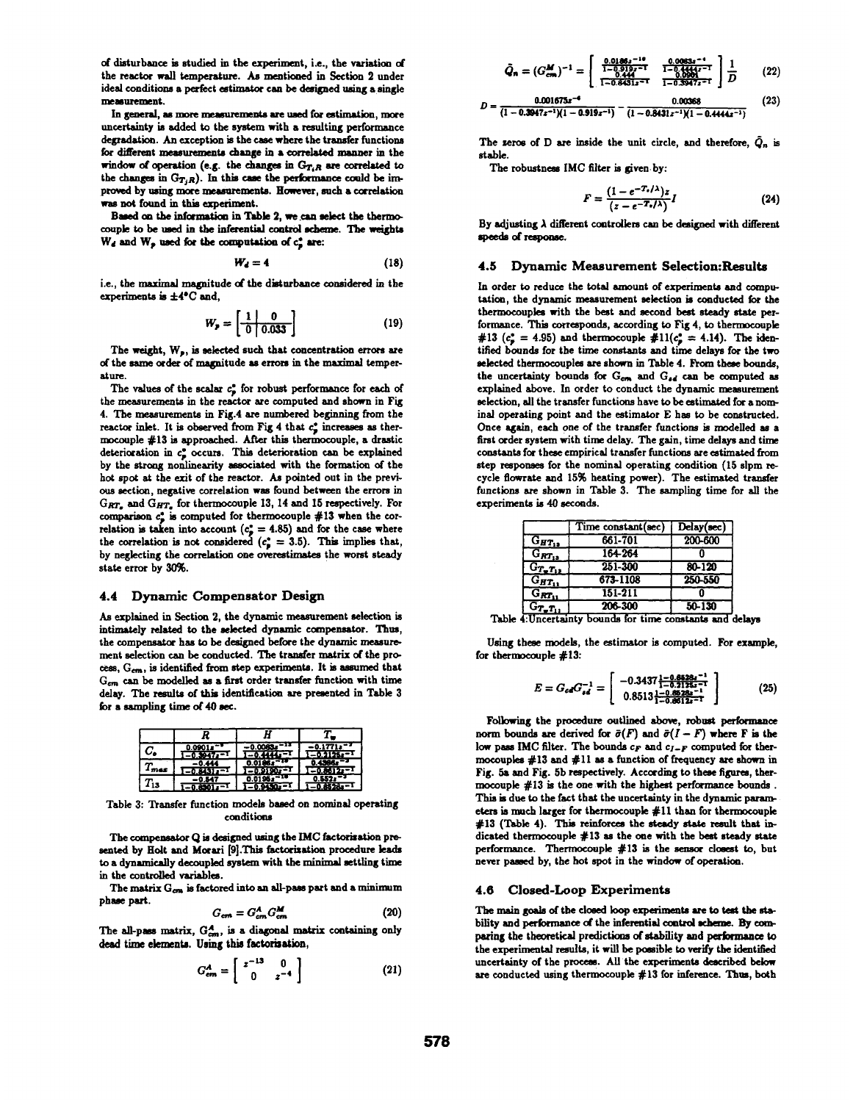of disturbance is studied in the experiment, ie., the variation of the reactor wall temperature. As mentioned in Section 2 under ideal conditions a perfect estimator can be designed using a single measurement.

In general, as more measurements are used for estimation, more uncertainty is added to the system with a resulting performance degradation. An exception is the case where the transfer functions for different measurements change in a correlated manner in the window of operation (e.g. the changes in  $G_{T_iR}$  are correlated to the changes in  $G_{T_jR}$ ). In this case the performance could be improved by using more measurements. However, such a correlation was not found in this experiment.

Based on the information in Table 2, we can select the thermocouple to be used in the inferential control scheme. The weights  $W_d$  and  $W_p$  used for the computation of  $c_p^*$  are:

$$
W_d = 4 \tag{18}
$$

i.e., the maximal magnitude of the disturbance consdered in the experiments is  $\pm 4^{\circ}$ C and,

$$
W_p = \left[\begin{array}{c|c} 1 & 0 \\ \hline 0 & 0.033 \end{array}\right]
$$
 (19)

The weight,  $W_p$ , is selected such that concentration errors are of the same order of magnitude as errors in the maximal temperature.

The values of the scalar  $c_{\bullet}^{*}$  for robust performance for each of the measurements in the reactor are computed and shown in Fig 4. The meaurements in Fig.4 are numbered beginning from the reactor inlet. It is observed from Fig 4 that  $c_s^*$  increases as thermocouple #13 is approached. After this thermocouple, a drastic deterioration in  $c_p^*$  occurs. This deterioration can be explained by the strong nonlinearity associated with the formation of the hot spot at the exit of the reactor. As pointed out in the previous section, negative correlation was found between the errors in  $G_{RT_x}$  and  $G_{HT_x}$  for thermocouple 13, 14 and 15 respectively. For comparison  $c_p^*$  is computed for thermocouple #13 when the correlation is taken into account  $(c_p^* = 4.85)$  and for the case where the correlation is not considered  $(c_{\bullet}^* = 3.5)$ . This implies that, by neglecting the correlation one overestimates the worst steady state error by 30%.

## 4.4 Dynamic Compensator Design

As explained in Section 2, the dynamic measurement selection is intimately related to the seected dynamic compensator. ITus, the compensator has to be designed before the dynamic measurement selection can be conducted. The tranfer matrix of the process,  $G_{cm}$ , is identified from step experiments. It is assumed that  $G_{cm}$  can be modelled as a first order transfer function with time delay. The results of this identification are presented in Table 3 for a sampling time of 40 sec.

| $C_{\bullet}$ | 0.0901z<br>$-0.3047z$     | $-0.4444$                 | -0.1771*<br>$-0.2125 - 1$   |
|---------------|---------------------------|---------------------------|-----------------------------|
| $T_{\sf max}$ | -0.444<br>$-0.8431z^{-1}$ | 0.0186.<br>$1 - 0.9190 -$ | $0.4366$ s<br>$-0.8612 - 1$ |
| $T_{13}$      | -0.547<br>-0.8301.        | 0.0195z<br>-0.9450z=1     |                             |

Table 3: Transfer function models based on nominal operating conditions

The compensator Q is designed using the IMC factorization presented by Bolt and Morari [9].This factorisation procedure leads to a dynamically decoupled system with the minimal settling time in the controlled variables.

The matrix  $G_{cm}$  is factored into an all-pass part and a minimum phase part.

$$
G_{cm} = G_{cm}^A G_{cm}^M \tag{20}
$$

The all-pass matrix,  $G_{cm}^A$ , is a diagonal matrix containing only dead time elements. Using this factorization,

$$
G_{em}^A = \left[ \begin{array}{cc} z^{-13} & 0 \\ 0 & z^{-4} \end{array} \right] \tag{21}
$$

$$
\tilde{Q}_n = (G_{cm}^M)^{-1} = \begin{bmatrix} 0.0189z^{-10} & 0.0083z^{-1} \\ \frac{1 - 0.019z^{-10}}{1 - 0.0481z^{-10}} & \frac{1 - 0.0083z^{-1}}{1 - 0.3847z^{-1}} \\ \frac{1 - 0.0481z^{-10}}{1 - 0.3847z^{-1}} & \frac{1}{1 - 0.3847z^{-1}} \end{bmatrix} \frac{1}{D} \tag{22}
$$

$$
D = \frac{0.001675x^{-4}}{(1 - 0.3047z^{-1})(1 - 0.919z^{-1})} - \frac{0.00368}{(1 - 0.8431z^{-1})(1 - 0.4444z^{-1})}
$$
(23)

The zeros of D are inside the unit circle, and therefore,  $\tilde{Q}_n$  is stable.

The robustness IMC filter is given-by:

$$
F = \frac{(1 - e^{-T_s/\lambda})z}{(z - e^{-T_s/\lambda})}I
$$
 (24)

By adjusting  $\lambda$  different controllers can be designed with different speeds of response.

#### 4.5 Dynamic Measurement Selection:Results

In order to reduce the total amount of experiments and computation, the dynamic measurement selection is conducted for the thermocouples with the best and second best steady state performance. This corresponds, according to Fig 4, to thermocouple #13 ( $c_p^* = 4.95$ ) and thermocouple #11( $c_p^* = 4.14$ ). The identified bounds for the time constants and time delays for the two selected thermocouples are shown in Table 4. From these bounds, the uncertainty bounds for  $G_{cm}$  and  $G_{sd}$  can be computed as explained above. In order to conduct the dynamic measurement selection, all the transfer functions have to be estimated for a nominal operating point and the estimator E has to be constructed. Once again, each one of the transfer functions is modelled as a first order system with time delay. The gain, time delays and time constants for these empirical transfer functions are estimated from step respones for the nominal operating condition (15 slpm recycle flowrate and 15% heating power). The estimated transfer functions are shown in Table 3. The sampling time for all the experiments is 40 seconds.

|                              | Time constant(sec) | Delay(sec) |
|------------------------------|--------------------|------------|
| $G_{HT_{12}}$                | 661-701            | 200-600    |
| $G_{RT_{13}}$                | 164-264            |            |
| $G_{T_{\bullet}T_{12}}$      | 251-300            | $80 - 120$ |
| $G_{HT_{11}}$                | 673-1108           | 250-550    |
| $G_{RT_{11}}$                | 151-211            |            |
| $G_{T_{\bullet}T_{\bullet}}$ | 206-300            | $50 - 130$ |

Table 4: Uncertainty bounds for time constants and delays

Using these models, the estimator is computed. For exampk, for thermocouple #13:

$$
E = G_{cd}G_{dd}^{-1} = \begin{bmatrix} -0.3437 \frac{1 - 0.6428a^{-1}}{1 - 0.2125a^{-1}} \\ 0.8513 \frac{1 - 0.628a^{-1}}{1 - 0.8512a^{-1}} \end{bmatrix}
$$
 (25)

Following the procedure outlined above, robust performance norm bounds are derived for  $\bar{\sigma}(F)$  and  $\bar{\sigma}(I-F)$  where F is the low pass IMC filter. The bounds  $c_F$  and  $c_{I-F}$  computed for thermocouples  $\#13$  and  $\#11$  as a function of frequency are shown in Fig. 5a and Fig. 5b respectively. According to these figures, thermocouple #13 is the one with the highest performance bounds . This is due to the fact that the uncertainty in the dynamic parametes is much larger for thermocouple #11 than for thermocouple #13 (Table 4). This reinforces the steady state result that indicated thermocouple #13 as the one with the best steady stat performance. Thermocouple  $#13$  is the sensor closest to, but never passed by, the hot spot in the window of operation.

## 4.6 Closed-Loop Experiments

The main goals of the closed loop experiments are to test the stability and performance of the inferential control scheme. By comparing the theoretical predictions of stability and performance to the experimental results, it will be posible to verify the identified uncertainty of the process. All the experiments described below are conducted using thermocouple #13 for inference. Thus, both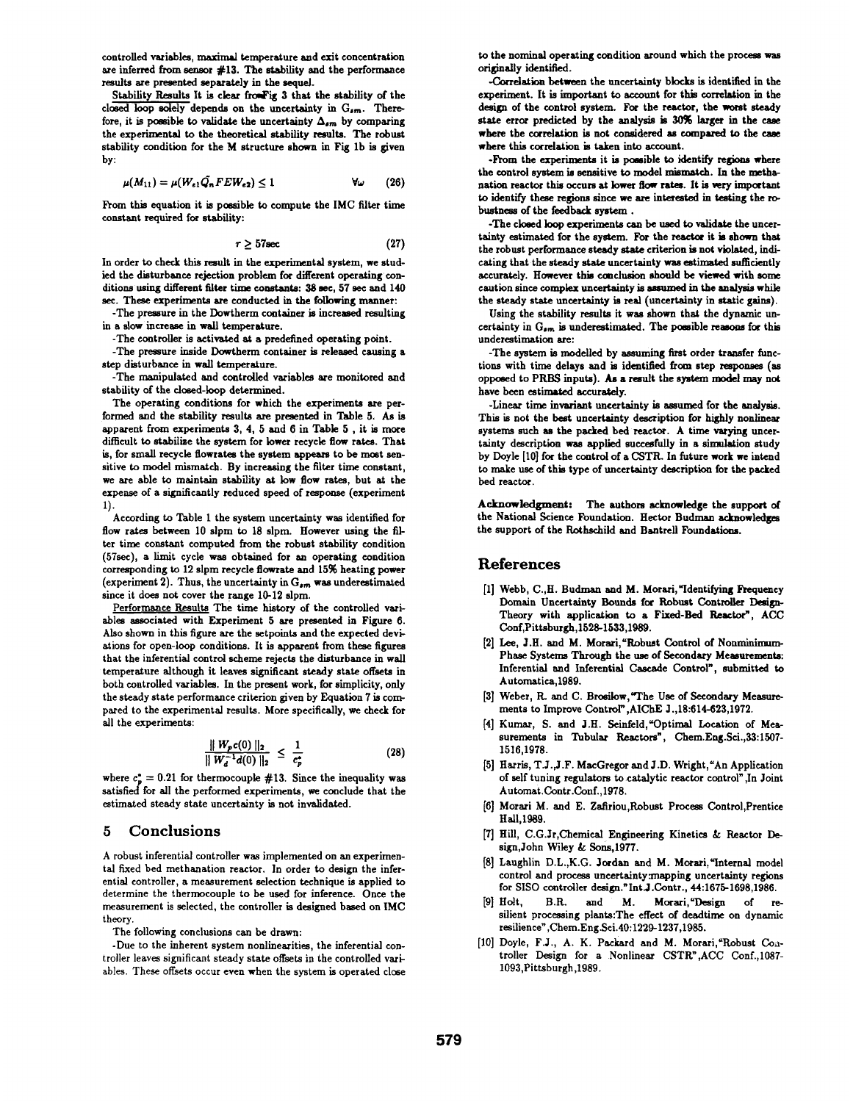controlled variables, maximal temperature and exit concentration are inferred from sensor  $#13$ . The stability and the performance results are presented separately in the sequel

Stability Results It is clear froufig 3 that the stability of the closed loop solely depends on the uncertainty in  $G_{\sigma m}$ . Therefore, it is possible to validate the uncertainty  $\Delta_{sm}$  by comparing the experimental to the theoretical stability results. The robust stability condition for the M structure shown in Fig lb is given by:

$$
\mu(M_{11}) = \mu(W_{e1}\tilde{Q_n}FEW_{e2}) \le 1 \qquad \forall \omega \qquad (26)
$$

From this equation it is possible to compute the IMC filter time constant required for stability:

$$
\tau \geq 57 \text{sec} \tag{27}
$$

In order to check this result in the experimental system, we studied the disturbance rejection problem for different operating conditions using different filter time constants: 38 sec, 57 sec and 140 sec. These experiments are conducted in the following manner:

-The pressure in the Dowtherm container is increased resulting in a slow increase in wall temperature.

-The controller is activated at a predefined operating point.

-The pressure inside Dowtherm container is released causing a step disturbance in wall temperature.

-The manipulated and controlled variables are monitored and stability of the closed-loop determined.

The operating conditions for which the experiments are performed and the stability results are presented in Table 5. As is apparent from experiments 3, 4, 5 and 6 in Table 5, it is more difficult to stabilize the system for lower recycle flow rates. That is, for small recycle flowrates the system appears to be most sensitive to model mismatch. By increasing the filter tine constant, we are able to maintain stability at low flow rates, but at the expense of a significantly reduced speed of response (experiment 1).

According to Table <sup>I</sup> the system uncertainty was identified for flow rates between 10 slpm to 18 slpm. However using the filter time constant computed from the robust stability condition (57sec), a limit cycle was obtained for an operating condition corresponding to 12 slpm recycle flowrate and 15% heating power (experiment 2). Thus, the uncertainty in  $G_{sm}$  was underestimated since it does not cover the range 10-12 slpm.

Performance Results The time history of the controlled variables associated with Experiment 5 are presented in Figure 6. Also shown in this figure are the setpoints and the expected deviations for open-loop conditions. It is apparent from these figures that the inferential control scheme rejects the disturbance in wall temperature although it leaves significant steady state offsets in both controlled variables. In the present work, for simplicity, only the steady state performance criterion given by Equation 7 is compared to the experimental results. More specifically, we check for all the experiments:

$$
\frac{\|W_p c(0)\|_2}{\|W_d^{-1} d(0)\|_2} \leq \frac{1}{c_p^*}
$$
 (28)

where  $c_n^* = 0.21$  for thermocouple #13. Since the inequality was satisfied for all the performed experiments, we conclude that the estimated steady state uncertainty is not invalidated.

## S Conclusions

A robust inferential controller was implemented on an experimental fixed bed methanation reactor. In order to design the inferential controller, a measurement selection technique is applied to determine the thermocouple to be used for inference. Once the measurement is selected, the controller is designed based on IMC theory.

The following conclusions can be drawn:

-Due to the inherent system nonlinearities, the inferential controller leaves significant steady state offsets in the controlled variables. These offsets occur even when the system is operated close to the nominal operating condition around which the proces was originaly identified.

-Correlation between the uncertainty blocks is identified in the experiment. It is important to account for this correlaion in the design of the control system. For the reactor, the worst steady state error predicted by the analysis is 30% larger in the case where the correlation is not considered as compared to the case where this correlation is taken into account.

-From the experiments it is possible to identify regions where the control system is sensitive to model mismatch. In the nethanation reactor this occurs at lower flow rates. It is very important to identify these regions since we are interested in testing the robustness of the feedback system .

-The cloed loop experiments can be used to validate the uncertainty estimated for the system. For the reactor it is shown that the robust performance steady state criterion is not violated, indicating that the steady state uncertainty was estimated sufficiently accurately. However this conclusion should be viewed with some caution since complex uncertainty is assumed in the analysis while the steady state uncertainty is real (uncertainty in static gains).

Using the stability results it was shown that the dynamic uncertainty in  $G_{sm}$  is underestimated. The possible reasons for this underestimation are:

-The system is modelled by assuming first order transfer functions with time delays and is identified from step responses (as opposed to PRBS inputs). As a result the system model may not have been estimated accurately.

-Linear time invariant uncertainty is assumed for the analysis. This is not the best uncertainty description for highly nonlinear systems such as the packed bed reactor. A time varying uncertainty description was applied succesfully in a simulation study by Doyle [10] for the control of a CSTR. In future work we intend to make use of this type of uncertainty description for the packed bed reactor.

Acknowledgment: The authors acknowledge the support of the National Science Foundation. Hector Budman acknowledges the support of the Rothschild and Bantrell Foundations.

# References

- [1] Webb, C., H. Budman and M. Morari, "Identifying Frequency Domain Uncertainty Bounds for Robust Controller Design-Theory with application to a Fixed-Bed Reactor", ACC Conf,Pittsburgh,1528-1533,1989.
- [2] Lee, J.H. and M. Morari, "Robust Control of Nonminimum-Phase Systems Through the use of Secondary Measurements: Inferential and Inferential Cascade Control", submitted to Automatica,1989.
- [3] Weber, R. and C. Brosilow, "The Use of Secondary Measurements to Improve Control", AIChE J., 18:614-623, 1972.
- [4] Kumar, S. and J.H. Seinfeld, "Optimal Location of Measurements in Tubular Reactors", Chem.Eng.Sci.,33:1507- 1516,1978.
- [5] Harris, T.J.,J.F. MacGregor and J.D. Wright,'An Application of self tuning regulators to catalytic reactor control" ,In Joint Automat.Contr.Conf.,1978.
- [6] Morai M. and E. Zafiriou,Robust Process Control,Prentice Hall.1989.
- [7] Hill, C.G.Jr,Chemical Engineering Kinetics & Reactor Design,John Wiley & Sons,1977.
- [8] Laughlin D.L.,K.G. Jordan and M. Morari, "Internal model control and process uncertainty:mapping uncertainty regions for SISO controller design."Int.J.Contr., 44:1675-1698,1986.
- [9] Holt, B.R. and M. Morari, "Design of resilient processing plants:The effect of deadtime on dynanic resilience" ,Chem.Eng.Sci.40:1229-1237,1985.
- [10] Doyle, F.J., A. K. Packard and M. Morari, "Robust Controller Design for a Nonlinear CSTR",ACC Conf.,1087- 1093,Pittsburgh,1989.